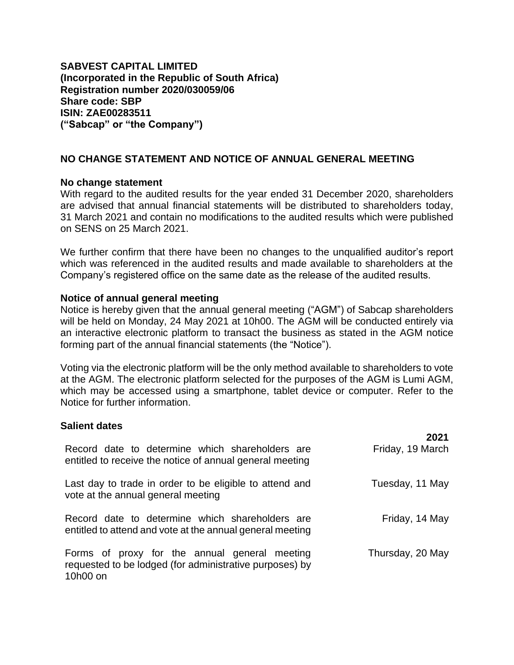**SABVEST CAPITAL LIMITED (Incorporated in the Republic of South Africa) Registration number 2020/030059/06 Share code: SBP ISIN: ZAE00283511 ("Sabcap" or "the Company")**

## **NO CHANGE STATEMENT AND NOTICE OF ANNUAL GENERAL MEETING**

## **No change statement**

With regard to the audited results for the year ended 31 December 2020, shareholders are advised that annual financial statements will be distributed to shareholders today, 31 March 2021 and contain no modifications to the audited results which were published on SENS on 25 March 2021.

We further confirm that there have been no changes to the unqualified auditor's report which was referenced in the audited results and made available to shareholders at the Company's registered office on the same date as the release of the audited results.

## **Notice of annual general meeting**

Notice is hereby given that the annual general meeting ("AGM") of Sabcap shareholders will be held on Monday, 24 May 2021 at 10h00. The AGM will be conducted entirely via an interactive electronic platform to transact the business as stated in the AGM notice forming part of the annual financial statements (the "Notice").

Voting via the electronic platform will be the only method available to shareholders to vote at the AGM. The electronic platform selected for the purposes of the AGM is Lumi AGM, which may be accessed using a smartphone, tablet device or computer. Refer to the Notice for further information.

**2021**

## **Salient dates**

|                                                                                                                      | 2021             |
|----------------------------------------------------------------------------------------------------------------------|------------------|
| Record date to determine which shareholders are<br>entitled to receive the notice of annual general meeting          | Friday, 19 March |
| Last day to trade in order to be eligible to attend and<br>vote at the annual general meeting                        | Tuesday, 11 May  |
| Record date to determine which shareholders are<br>entitled to attend and vote at the annual general meeting         | Friday, 14 May   |
| Forms of proxy for the annual general meeting<br>requested to be lodged (for administrative purposes) by<br>10h00 on | Thursday, 20 May |